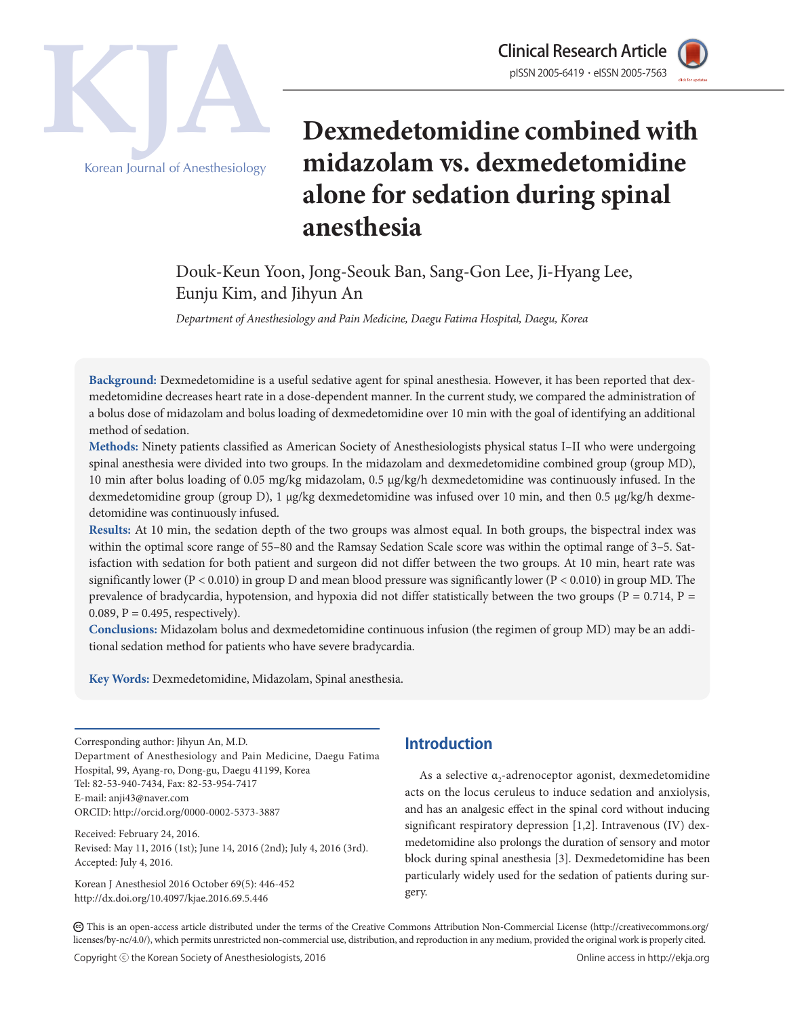

Clinical Research Article Korean Journal of Anesthesiology

# **Dexmedetomidine combined with midazolam vs. dexmedetomidine alone for sedation during spinal anesthesia**

Douk-Keun Yoon, Jong-Seouk Ban, Sang-Gon Lee, Ji-Hyang Lee, Eunju Kim, and Jihyun An

*Department of Anesthesiology and Pain Medicine, Daegu Fatima Hospital, Daegu, Korea*

**Background:** Dexmedetomidine is a useful sedative agent for spinal anesthesia. However, it has been reported that dexmedetomidine decreases heart rate in a dose-dependent manner. In the current study, we compared the administration of a bolus dose of midazolam and bolus loading of dexmedetomidine over 10 min with the goal of identifying an additional method of sedation.

**Methods:** Ninety patients classified as American Society of Anesthesiologists physical status I–II who were undergoing spinal anesthesia were divided into two groups. In the midazolam and dexmedetomidine combined group (group MD), 10 min after bolus loading of 0.05 mg/kg midazolam, 0.5 μg/kg/h dexmedetomidine was continuously infused. In the dexmedetomidine group (group D), 1 μg/kg dexmedetomidine was infused over 10 min, and then 0.5 μg/kg/h dexmedetomidine was continuously infused.

**Results:** At 10 min, the sedation depth of the two groups was almost equal. In both groups, the bispectral index was within the optimal score range of 55–80 and the Ramsay Sedation Scale score was within the optimal range of 3–5. Satisfaction with sedation for both patient and surgeon did not differ between the two groups. At 10 min, heart rate was significantly lower ( $P < 0.010$ ) in group D and mean blood pressure was significantly lower ( $P < 0.010$ ) in group MD. The prevalence of bradycardia, hypotension, and hypoxia did not differ statistically between the two groups ( $P = 0.714$ ,  $P =$ 0.089,  $P = 0.495$ , respectively).

**Conclusions:** Midazolam bolus and dexmedetomidine continuous infusion (the regimen of group MD) may be an additional sedation method for patients who have severe bradycardia.

**Key Words:** Dexmedetomidine, Midazolam, Spinal anesthesia.

Corresponding author: Jihyun An, M.D. Department of Anesthesiology and Pain Medicine, Daegu Fatima Hospital, 99, Ayang-ro, Dong-gu, Daegu 41199, Korea Tel: 82-53-940-7434, Fax: 82-53-954-7417 E-mail: anji43@naver.com ORCID: http://orcid.org/0000-0002-5373-3887

Received: February 24, 2016. Revised: May 11, 2016 (1st); June 14, 2016 (2nd); July 4, 2016 (3rd). Accepted: July 4, 2016.

Korean J Anesthesiol 2016 October 69(5): 446-452 http://dx.doi.org/10.4097/kjae.2016.69.5.446

## **Introduction**

As a selective  $a_2$ -adrenoceptor agonist, dexmedetomidine acts on the locus ceruleus to induce sedation and anxiolysis, and has an analgesic effect in the spinal cord without inducing significant respiratory depression [1,2]. Intravenous (IV) dexmedetomidine also prolongs the duration of sensory and motor block during spinal anesthesia [3]. Dexmedetomidine has been particularly widely used for the sedation of patients during surgery.

CC This is an open-access article distributed under the terms of the Creative Commons Attribution Non-Commercial License (http://creativecommons.org/ licenses/by-nc/4.0/), which permits unrestricted non-commercial use, distribution, and reproduction in any medium, provided the original work is properly cited.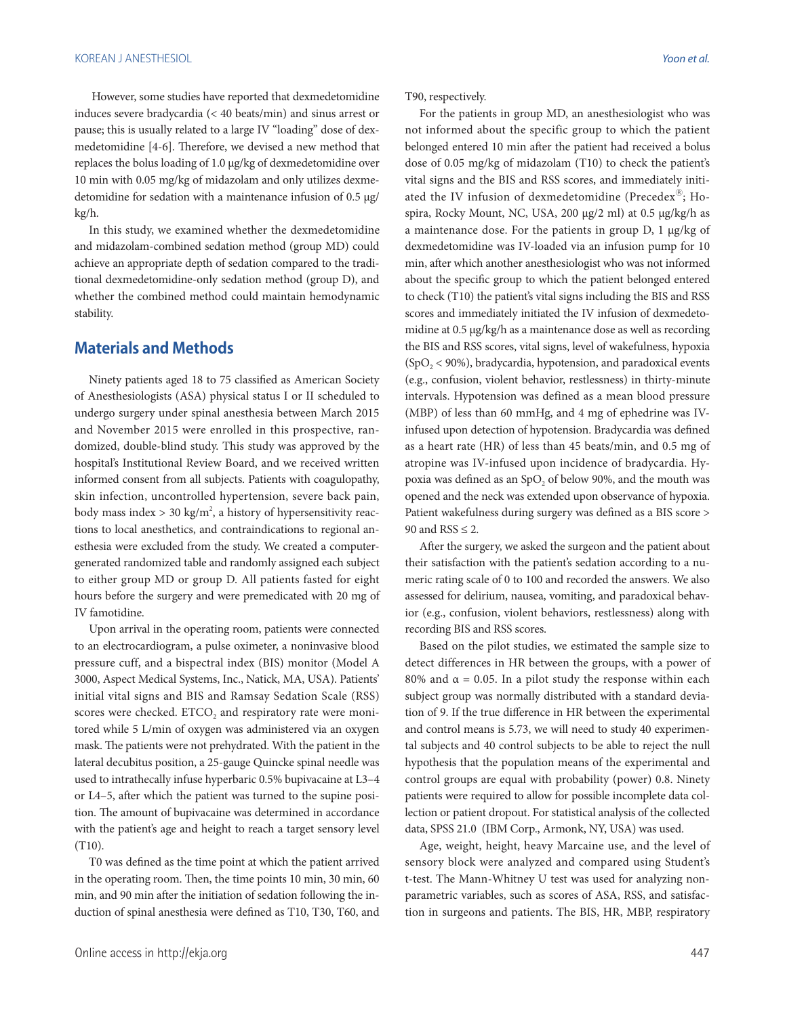However, some studies have reported that dexmedetomidine induces severe bradycardia (< 40 beats/min) and sinus arrest or pause; this is usually related to a large IV "loading" dose of dexmedetomidine [4-6]. Therefore, we devised a new method that replaces the bolus loading of 1.0 μg/kg of dexmedetomidine over 10 min with 0.05 mg/kg of midazolam and only utilizes dexmedetomidine for sedation with a maintenance infusion of 0.5 μg/ kg/h.

In this study, we examined whether the dexmedetomidine and midazolam-combined sedation method (group MD) could achieve an appropriate depth of sedation compared to the traditional dexmedetomidine-only sedation method (group D), and whether the combined method could maintain hemodynamic stability.

#### **Materials and Methods**

Ninety patients aged 18 to 75 classified as American Society of Anesthesiologists (ASA) physical status I or II scheduled to undergo surgery under spinal anesthesia between March 2015 and November 2015 were enrolled in this prospective, randomized, double-blind study. This study was approved by the hospital's Institutional Review Board, and we received written informed consent from all subjects. Patients with coagulopathy, skin infection, uncontrolled hypertension, severe back pain, body mass index > 30 kg/m<sup>2</sup>, a history of hypersensitivity reactions to local anesthetics, and contraindications to regional anesthesia were excluded from the study. We created a computergenerated randomized table and randomly assigned each subject to either group MD or group D. All patients fasted for eight hours before the surgery and were premedicated with 20 mg of IV famotidine.

Upon arrival in the operating room, patients were connected to an electrocardiogram, a pulse oximeter, a noninvasive blood pressure cuff, and a bispectral index (BIS) monitor (Model A 3000, Aspect Medical Systems, Inc., Natick, MA, USA). Patients' initial vital signs and BIS and Ramsay Sedation Scale (RSS) scores were checked.  $ETCO<sub>2</sub>$  and respiratory rate were monitored while 5 L/min of oxygen was administered via an oxygen mask. The patients were not prehydrated. With the patient in the lateral decubitus position, a 25-gauge Quincke spinal needle was used to intrathecally infuse hyperbaric 0.5% bupivacaine at L3–4 or L4–5, after which the patient was turned to the supine position. The amount of bupivacaine was determined in accordance with the patient's age and height to reach a target sensory level (T10).

T0 was defined as the time point at which the patient arrived in the operating room. Then, the time points 10 min, 30 min, 60 min, and 90 min after the initiation of sedation following the induction of spinal anesthesia were defined as T10, T30, T60, and T90, respectively.

For the patients in group MD, an anesthesiologist who was not informed about the specific group to which the patient belonged entered 10 min after the patient had received a bolus dose of 0.05 mg/kg of midazolam (T10) to check the patient's vital signs and the BIS and RSS scores, and immediately initiated the IV infusion of dexmedetomidine (Precedex $^{\circledR}$ ; Hospira, Rocky Mount, NC, USA, 200 μg/2 ml) at 0.5 μg/kg/h as a maintenance dose. For the patients in group D, 1 μg/kg of dexmedetomidine was IV-loaded via an infusion pump for 10 min, after which another anesthesiologist who was not informed about the specific group to which the patient belonged entered to check (T10) the patient's vital signs including the BIS and RSS scores and immediately initiated the IV infusion of dexmedetomidine at 0.5 μg/kg/h as a maintenance dose as well as recording the BIS and RSS scores, vital signs, level of wakefulness, hypoxia  $(SpO<sub>2</sub> < 90%)$ , bradycardia, hypotension, and paradoxical events (e.g., confusion, violent behavior, restlessness) in thirty-minute intervals. Hypotension was defined as a mean blood pressure (MBP) of less than 60 mmHg, and 4 mg of ephedrine was IVinfused upon detection of hypotension. Bradycardia was defined as a heart rate (HR) of less than 45 beats/min, and 0.5 mg of atropine was IV-infused upon incidence of bradycardia. Hypoxia was defined as an  $SpO<sub>2</sub>$  of below 90%, and the mouth was opened and the neck was extended upon observance of hypoxia. Patient wakefulness during surgery was defined as a BIS score > 90 and RSS  $\leq$  2.

After the surgery, we asked the surgeon and the patient about their satisfaction with the patient's sedation according to a numeric rating scale of 0 to 100 and recorded the answers. We also assessed for delirium, nausea, vomiting, and paradoxical behavior (e.g., confusion, violent behaviors, restlessness) along with recording BIS and RSS scores.

Based on the pilot studies, we estimated the sample size to detect differences in HR between the groups, with a power of 80% and  $\alpha$  = 0.05. In a pilot study the response within each subject group was normally distributed with a standard deviation of 9. If the true difference in HR between the experimental and control means is 5.73, we will need to study 40 experimental subjects and 40 control subjects to be able to reject the null hypothesis that the population means of the experimental and control groups are equal with probability (power) 0.8. Ninety patients were required to allow for possible incomplete data collection or patient dropout. For statistical analysis of the collected data, SPSS 21.0 (IBM Corp., Armonk, NY, USA) was used.

Age, weight, height, heavy Marcaine use, and the level of sensory block were analyzed and compared using Student's t-test. The Mann-Whitney U test was used for analyzing nonparametric variables, such as scores of ASA, RSS, and satisfaction in surgeons and patients. The BIS, HR, MBP, respiratory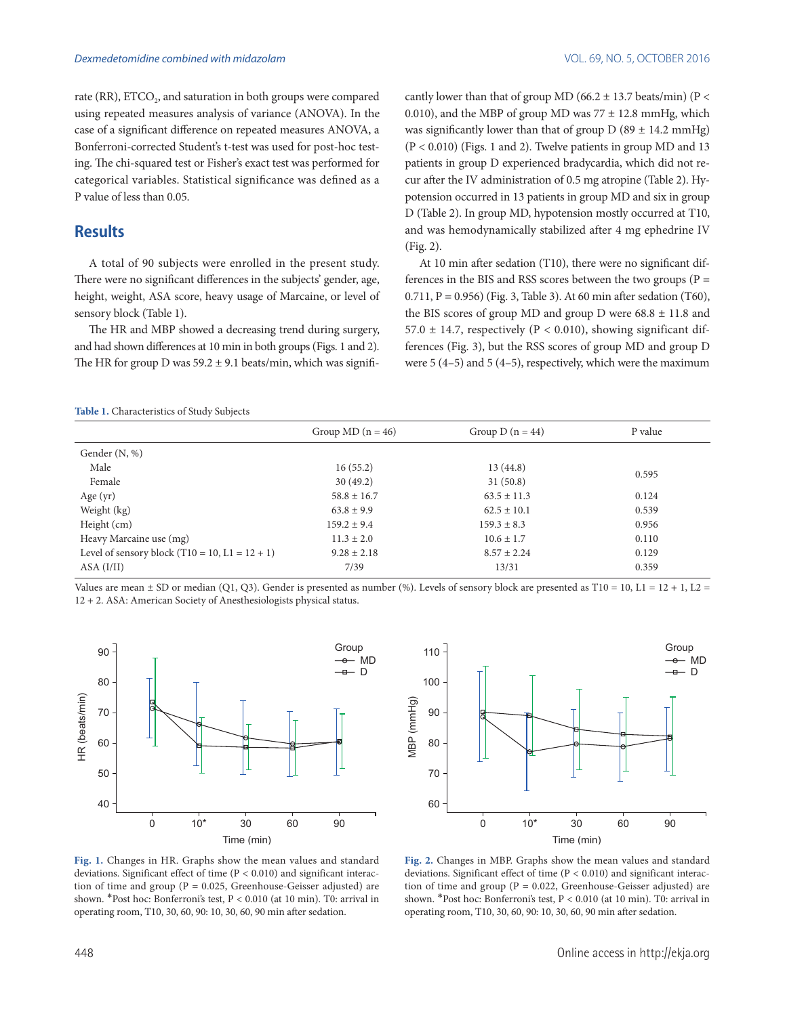rate (RR),  $ETCO<sub>2</sub>$ , and saturation in both groups were compared using repeated measures analysis of variance (ANOVA). In the case of a significant difference on repeated measures ANOVA, a Bonferroni-corrected Student's t-test was used for post-hoc testing. The chi-squared test or Fisher's exact test was performed for categorical variables. Statistical significance was defined as a P value of less than 0.05.

#### **Results**

A total of 90 subjects were enrolled in the present study. There were no significant differences in the subjects' gender, age, height, weight, ASA score, heavy usage of Marcaine, or level of sensory block (Table 1).

The HR and MBP showed a decreasing trend during surgery, and had shown differences at 10 min in both groups (Figs. 1 and 2). The HR for group D was  $59.2 \pm 9.1$  beats/min, which was significantly lower than that of group MD (66.2  $\pm$  13.7 beats/min) (P < 0.010), and the MBP of group MD was  $77 \pm 12.8$  mmHg, which was significantly lower than that of group  $D(89 \pm 14.2 \text{ mmHg})$  $(P < 0.010)$  (Figs. 1 and 2). Twelve patients in group MD and 13 patients in group D experienced bradycardia, which did not recur after the IV administration of 0.5 mg atropine (Table 2). Hypotension occurred in 13 patients in group MD and six in group D (Table 2). In group MD, hypotension mostly occurred at T10, and was hemodynamically stabilized after 4 mg ephedrine IV (Fig. 2).

At 10 min after sedation (T10), there were no significant differences in the BIS and RSS scores between the two groups ( $P =$ 0.711, P = 0.956) (Fig. 3, Table 3). At 60 min after sedation (T60), the BIS scores of group MD and group D were  $68.8 \pm 11.8$  and 57.0  $\pm$  14.7, respectively (P < 0.010), showing significant differences (Fig. 3), but the RSS scores of group MD and group D were 5 (4–5) and 5 (4–5), respectively, which were the maximum

**Table 1.** Characteristics of Study Subjects

|                                                  | Group MD $(n = 46)$ | Group D $(n = 44)$ | P value |  |
|--------------------------------------------------|---------------------|--------------------|---------|--|
| Gender (N, %)                                    |                     |                    |         |  |
| Male                                             | 16(55.2)            | 13(44.8)           | 0.595   |  |
| Female                                           | 30(49.2)            | 31(50.8)           |         |  |
| Age $(yr)$                                       | $58.8 \pm 16.7$     | $63.5 \pm 11.3$    | 0.124   |  |
| Weight (kg)                                      | $63.8 \pm 9.9$      | $62.5 \pm 10.1$    | 0.539   |  |
| Height (cm)                                      | $159.2 \pm 9.4$     | $159.3 \pm 8.3$    | 0.956   |  |
| Heavy Marcaine use (mg)                          | $11.3 \pm 2.0$      | $10.6 \pm 1.7$     | 0.110   |  |
| Level of sensory block $(T10 = 10, L1 = 12 + 1)$ | $9.28 \pm 2.18$     | $8.57 \pm 2.24$    | 0.129   |  |
| ASA (I/II)                                       | 7/39                | 13/31              | 0.359   |  |

Values are mean  $\pm$  SD or median (Q1, Q3). Gender is presented as number (%). Levels of sensory block are presented as T10 = 10, L1 = 12 + 1, L2 = 12 + 2. ASA: American Society of Anesthesiologists physical status.





**Fig. 1.** Changes in HR. Graphs show the mean values and standard deviations. Significant effect of time (P < 0.010) and significant interaction of time and group ( $P = 0.025$ , Greenhouse-Geisser adjusted) are shown. \*Post hoc: Bonferroni's test, P < 0.010 (at 10 min). T0: arrival in operating room, T10, 30, 60, 90: 10, 30, 60, 90 min after sedation.

**Fig. 2.** Changes in MBP. Graphs show the mean values and standard deviations. Significant effect of time (P < 0.010) and significant interaction of time and group ( $P = 0.022$ , Greenhouse-Geisser adjusted) are shown. \*Post hoc: Bonferroni's test, P < 0.010 (at 10 min). T0: arrival in operating room, T10, 30, 60, 90: 10, 30, 60, 90 min after sedation.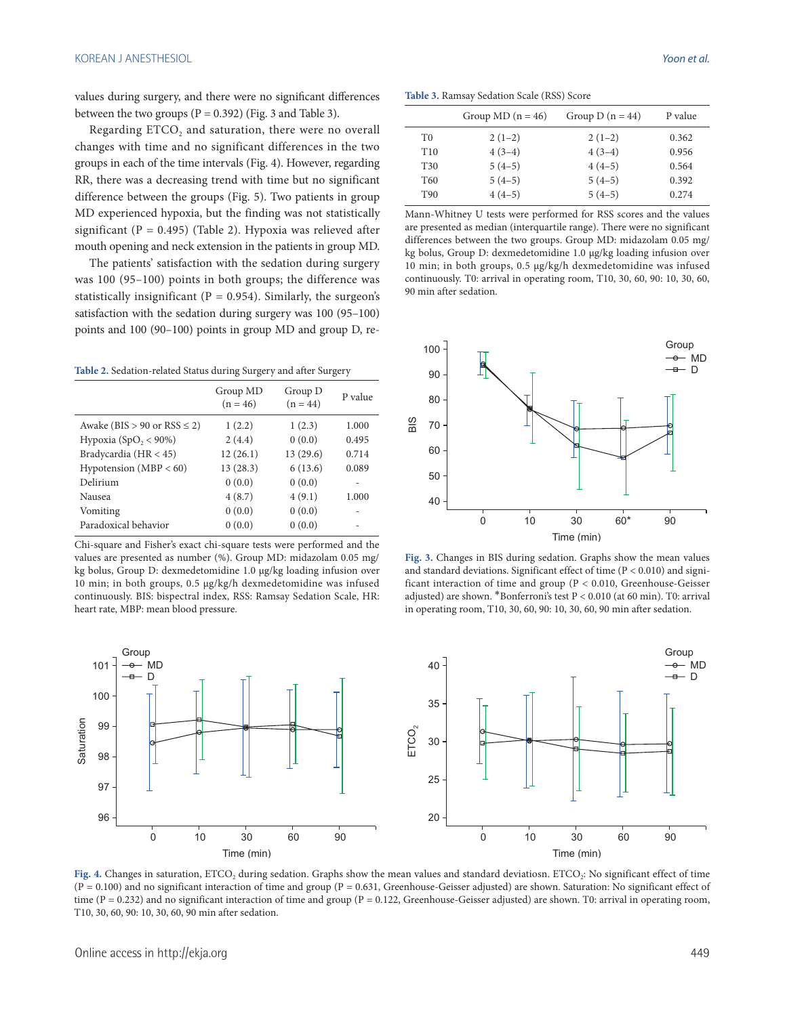values during surgery, and there were no significant differences between the two groups  $(P = 0.392)$  (Fig. 3 and Table 3).

Regarding  $ETCO<sub>2</sub>$  and saturation, there were no overall changes with time and no significant differences in the two groups in each of the time intervals (Fig. 4). However, regarding RR, there was a decreasing trend with time but no significant difference between the groups (Fig. 5). Two patients in group MD experienced hypoxia, but the finding was not statistically significant ( $P = 0.495$ ) (Table 2). Hypoxia was relieved after mouth opening and neck extension in the patients in group MD.

The patients' satisfaction with the sedation during surgery was 100 (95–100) points in both groups; the difference was statistically insignificant ( $P = 0.954$ ). Similarly, the surgeon's satisfaction with the sedation during surgery was 100 (95–100) points and 100 (90–100) points in group MD and group D, re-

**Table 2.** Sedation-related Status during Surgery and after Surgery

| Group MD<br>$(n = 46)$ | Group D<br>$(n = 44)$ | P value |  |  |  |
|------------------------|-----------------------|---------|--|--|--|
| 1(2.2)                 | 1(2.3)                | 1.000   |  |  |  |
| 2(4.4)                 | 0(0.0)                | 0.495   |  |  |  |
| 12(26.1)               | 13 (29.6)             | 0.714   |  |  |  |
| 13(28.3)               | 6(13.6)               | 0.089   |  |  |  |
| 0(0.0)                 | 0(0.0)                |         |  |  |  |
| 4(8.7)                 | 4(9.1)                | 1.000   |  |  |  |
| 0(0.0)                 | 0(0.0)                | ۰       |  |  |  |
| 0(0.0)                 | 0(0.0)                |         |  |  |  |
|                        |                       |         |  |  |  |

Chi-square and Fisher's exact chi-square tests were performed and the values are presented as number (%). Group MD: midazolam 0.05 mg/ kg bolus, Group D: dexmedetomidine 1.0 μg/kg loading infusion over 10 min; in both groups, 0.5 μg/kg/h dexmedetomidine was infused continuously. BIS: bispectral index, RSS: Ramsay Sedation Scale, HR: heart rate, MBP: mean blood pressure.

**Table 3.** Ramsay Sedation Scale (RSS) Score

|                 | Group MD $(n = 46)$ | Group D $(n = 44)$ | P value |
|-----------------|---------------------|--------------------|---------|
| T0              | $2(1-2)$            | $2(1-2)$           | 0.362   |
| T <sub>10</sub> | $4(3-4)$            | $4(3-4)$           | 0.956   |
| T <sub>30</sub> | $5(4-5)$            | $4(4-5)$           | 0.564   |
| T60             | $5(4-5)$            | $5(4-5)$           | 0.392   |
| T90             | $4(4-5)$            | $5(4-5)$           | 0.274   |

Mann-Whitney U tests were performed for RSS scores and the values are presented as median (interquartile range). There were no significant differences between the two groups. Group MD: midazolam 0.05 mg/ kg bolus, Group D: dexmedetomidine 1.0 μg/kg loading infusion over 10 min; in both groups, 0.5 μg/kg/h dexmedetomidine was infused continuously. T0: arrival in operating room, T10, 30, 60, 90: 10, 30, 60, 90 min after sedation.



**Fig. 3.** Changes in BIS during sedation. Graphs show the mean values and standard deviations. Significant effect of time  $(P < 0.010)$  and significant interaction of time and group (P < 0.010, Greenhouse-Geisser adjusted) are shown. \*Bonferroni's test P < 0.010 (at 60 min). T0: arrival in operating room, T10, 30, 60, 90: 10, 30, 60, 90 min after sedation.



Fig. 4. Changes in saturation, ETCO<sub>2</sub> during sedation. Graphs show the mean values and standard deviatiosn. ETCO<sub>2</sub>: No significant effect of time  $(P = 0.100)$  and no significant interaction of time and group  $(P = 0.631)$ , Greenhouse-Geisser adjusted) are shown. Saturation: No significant effect of time (P = 0.232) and no significant interaction of time and group (P = 0.122, Greenhouse-Geisser adjusted) are shown. T0: arrival in operating room, T10, 30, 60, 90: 10, 30, 60, 90 min after sedation.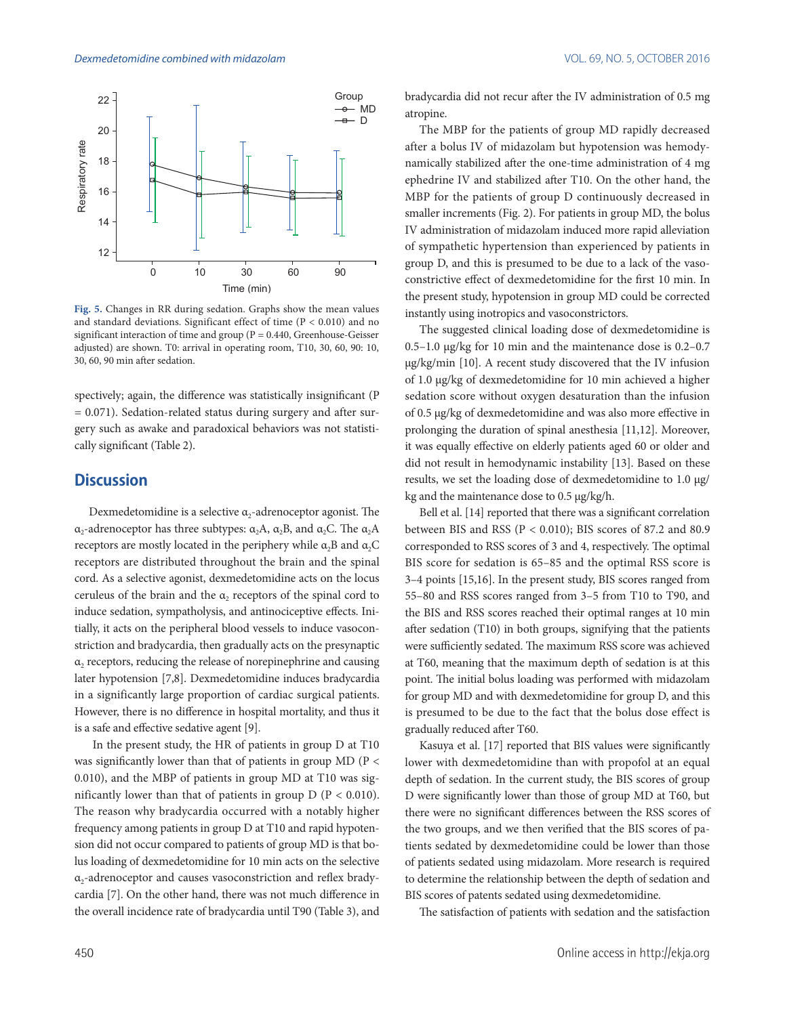

**Fig. 5.** Changes in RR during sedation. Graphs show the mean values and standard deviations. Significant effect of time  $(P < 0.010)$  and no significant interaction of time and group ( $P = 0.440$ , Greenhouse-Geisser adjusted) are shown. T0: arrival in operating room, T10, 30, 60, 90: 10, 30, 60, 90 min after sedation.

spectively; again, the difference was statistically insignificant (P  $= 0.071$ ). Sedation-related status during surgery and after surgery such as awake and paradoxical behaviors was not statistically significant (Table 2).

#### **Discussion**

Dexmedetomidine is a selective  $\alpha_2$ -adrenoceptor agonist. The α<sub>2</sub>-adrenoceptor has three subtypes:  $\alpha_2$ A,  $\alpha_2$ B, and  $\alpha_2$ C. The  $\alpha_2$ A receptors are mostly located in the periphery while  $\alpha$ <sub>2</sub>B and  $\alpha$ <sub>2</sub>C receptors are distributed throughout the brain and the spinal cord. As a selective agonist, dexmedetomidine acts on the locus ceruleus of the brain and the  $\alpha$ , receptors of the spinal cord to induce sedation, sympatholysis, and antinociceptive effects. Initially, it acts on the peripheral blood vessels to induce vasoconstriction and bradycardia, then gradually acts on the presynaptic  $\alpha$ <sub>2</sub> receptors, reducing the release of norepinephrine and causing later hypotension [7,8]. Dexmedetomidine induces bradycardia in a significantly large proportion of cardiac surgical patients. However, there is no difference in hospital mortality, and thus it is a safe and effective sedative agent [9].

 In the present study, the HR of patients in group D at T10 was significantly lower than that of patients in group MD ( $P <$ 0.010), and the MBP of patients in group MD at T10 was significantly lower than that of patients in group  $D (P < 0.010)$ . The reason why bradycardia occurred with a notably higher frequency among patients in group D at T10 and rapid hypotension did not occur compared to patients of group MD is that bolus loading of dexmedetomidine for 10 min acts on the selective α2-adrenoceptor and causes vasoconstriction and reflex bradycardia [7]. On the other hand, there was not much difference in the overall incidence rate of bradycardia until T90 (Table 3), and

bradycardia did not recur after the IV administration of 0.5 mg atropine.

The MBP for the patients of group MD rapidly decreased after a bolus IV of midazolam but hypotension was hemodynamically stabilized after the one-time administration of 4 mg ephedrine IV and stabilized after T10. On the other hand, the MBP for the patients of group D continuously decreased in smaller increments (Fig. 2). For patients in group MD, the bolus IV administration of midazolam induced more rapid alleviation of sympathetic hypertension than experienced by patients in group D, and this is presumed to be due to a lack of the vasoconstrictive effect of dexmedetomidine for the first 10 min. In the present study, hypotension in group MD could be corrected instantly using inotropics and vasoconstrictors.

The suggested clinical loading dose of dexmedetomidine is 0.5–1.0 μg/kg for 10 min and the maintenance dose is 0.2–0.7 μg/kg/min [10]. A recent study discovered that the IV infusion of 1.0 μg/kg of dexmedetomidine for 10 min achieved a higher sedation score without oxygen desaturation than the infusion of 0.5 μg/kg of dexmedetomidine and was also more effective in prolonging the duration of spinal anesthesia [11,12]. Moreover, it was equally effective on elderly patients aged 60 or older and did not result in hemodynamic instability [13]. Based on these results, we set the loading dose of dexmedetomidine to 1.0 μg/ kg and the maintenance dose to 0.5 μg/kg/h.

Bell et al. [14] reported that there was a significant correlation between BIS and RSS (P < 0.010); BIS scores of 87.2 and 80.9 corresponded to RSS scores of 3 and 4, respectively. The optimal BIS score for sedation is 65–85 and the optimal RSS score is 3–4 points [15,16]. In the present study, BIS scores ranged from 55–80 and RSS scores ranged from 3–5 from T10 to T90, and the BIS and RSS scores reached their optimal ranges at 10 min after sedation (T10) in both groups, signifying that the patients were sufficiently sedated. The maximum RSS score was achieved at T60, meaning that the maximum depth of sedation is at this point. The initial bolus loading was performed with midazolam for group MD and with dexmedetomidine for group D, and this is presumed to be due to the fact that the bolus dose effect is gradually reduced after T60.

Kasuya et al. [17] reported that BIS values were significantly lower with dexmedetomidine than with propofol at an equal depth of sedation. In the current study, the BIS scores of group D were significantly lower than those of group MD at T60, but there were no significant differences between the RSS scores of the two groups, and we then verified that the BIS scores of patients sedated by dexmedetomidine could be lower than those of patients sedated using midazolam. More research is required to determine the relationship between the depth of sedation and BIS scores of patents sedated using dexmedetomidine.

The satisfaction of patients with sedation and the satisfaction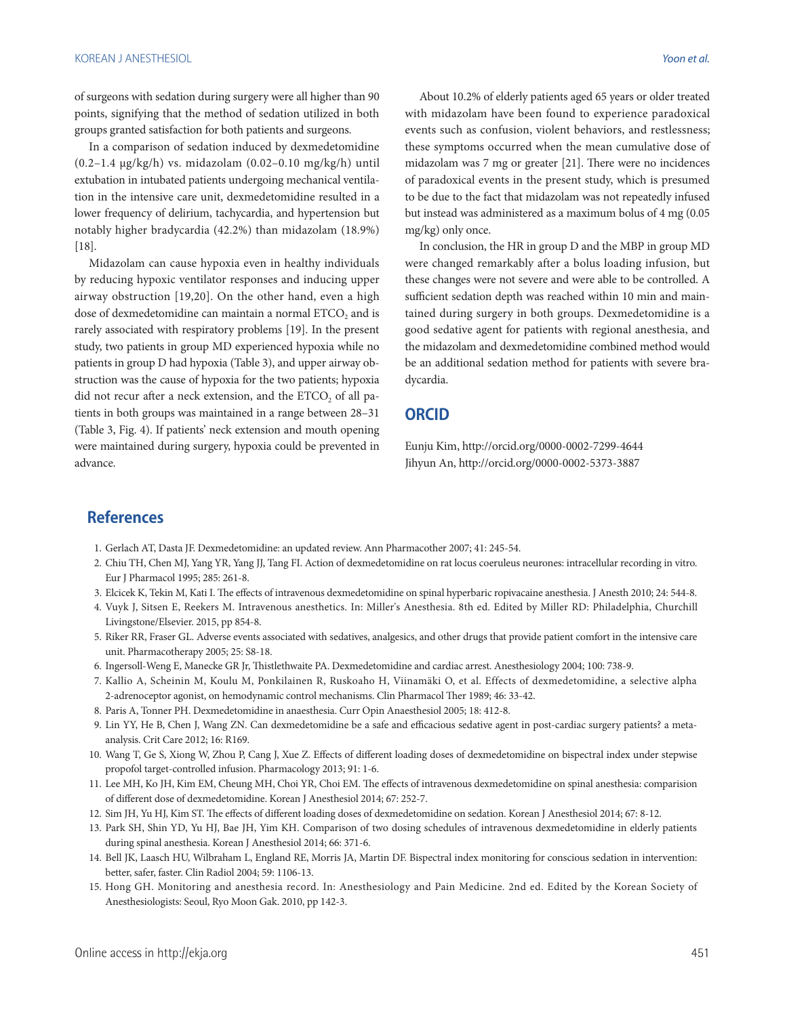of surgeons with sedation during surgery were all higher than 90 points, signifying that the method of sedation utilized in both groups granted satisfaction for both patients and surgeons.

In a comparison of sedation induced by dexmedetomidine  $(0.2-1.4 \mu g/kg/h)$  vs. midazolam  $(0.02-0.10 \mu g/kg/h)$  until extubation in intubated patients undergoing mechanical ventilation in the intensive care unit, dexmedetomidine resulted in a lower frequency of delirium, tachycardia, and hypertension but notably higher bradycardia (42.2%) than midazolam (18.9%) [18].

Midazolam can cause hypoxia even in healthy individuals by reducing hypoxic ventilator responses and inducing upper airway obstruction [19,20]. On the other hand, even a high dose of dexmedetomidine can maintain a normal ETCO<sub>2</sub> and is rarely associated with respiratory problems [19]. In the present study, two patients in group MD experienced hypoxia while no patients in group D had hypoxia (Table 3), and upper airway obstruction was the cause of hypoxia for the two patients; hypoxia did not recur after a neck extension, and the ETCO<sub>2</sub> of all patients in both groups was maintained in a range between 28–31 (Table 3, Fig. 4). If patients' neck extension and mouth opening were maintained during surgery, hypoxia could be prevented in advance.

About 10.2% of elderly patients aged 65 years or older treated with midazolam have been found to experience paradoxical events such as confusion, violent behaviors, and restlessness; these symptoms occurred when the mean cumulative dose of midazolam was 7 mg or greater [21]. There were no incidences of paradoxical events in the present study, which is presumed to be due to the fact that midazolam was not repeatedly infused but instead was administered as a maximum bolus of 4 mg (0.05 mg/kg) only once.

In conclusion, the HR in group D and the MBP in group MD were changed remarkably after a bolus loading infusion, but these changes were not severe and were able to be controlled. A sufficient sedation depth was reached within 10 min and maintained during surgery in both groups. Dexmedetomidine is a good sedative agent for patients with regional anesthesia, and the midazolam and dexmedetomidine combined method would be an additional sedation method for patients with severe bradycardia.

#### **ORCID**

Eunju Kim, http://orcid.org/0000-0002-7299-4644 Jihyun An, http://orcid.org/0000-0002-5373-3887

### **References**

- 1. Gerlach AT, Dasta JF. Dexmedetomidine: an updated review. Ann Pharmacother 2007; 41: 245-54.
- 2. Chiu TH, Chen MJ, Yang YR, Yang JJ, Tang FI. Action of dexmedetomidine on rat locus coeruleus neurones: intracellular recording in vitro. Eur J Pharmacol 1995; 285: 261-8.
- 3. Elcicek K, Tekin M, Kati I. The effects of intravenous dexmedetomidine on spinal hyperbaric ropivacaine anesthesia. J Anesth 2010; 24: 544-8.
- 4. Vuyk J, Sitsen E, Reekers M. Intravenous anesthetics. In: Miller's Anesthesia. 8th ed. Edited by Miller RD: Philadelphia, Churchill Livingstone/Elsevier. 2015, pp 854-8.
- 5. Riker RR, Fraser GL. Adverse events associated with sedatives, analgesics, and other drugs that provide patient comfort in the intensive care unit. Pharmacotherapy 2005; 25: S8-18.
- 6. Ingersoll-Weng E, Manecke GR Jr, Thistlethwaite PA. Dexmedetomidine and cardiac arrest. Anesthesiology 2004; 100: 738-9.
- 7. Kallio A, Scheinin M, Koulu M, Ponkilainen R, Ruskoaho H, Viinamäki O, et al. Effects of dexmedetomidine, a selective alpha 2-adrenoceptor agonist, on hemodynamic control mechanisms. Clin Pharmacol Ther 1989; 46: 33-42.
- 8. Paris A, Tonner PH. Dexmedetomidine in anaesthesia. Curr Opin Anaesthesiol 2005; 18: 412-8.
- 9. Lin YY, He B, Chen J, Wang ZN. Can dexmedetomidine be a safe and efficacious sedative agent in post-cardiac surgery patients? a metaanalysis. Crit Care 2012; 16: R169.
- 10. Wang T, Ge S, Xiong W, Zhou P, Cang J, Xue Z. Effects of different loading doses of dexmedetomidine on bispectral index under stepwise propofol target-controlled infusion. Pharmacology 2013; 91: 1-6.
- 11. Lee MH, Ko JH, Kim EM, Cheung MH, Choi YR, Choi EM. The effects of intravenous dexmedetomidine on spinal anesthesia: comparision of different dose of dexmedetomidine. Korean J Anesthesiol 2014; 67: 252-7.
- 12. Sim JH, Yu HJ, Kim ST. The effects of different loading doses of dexmedetomidine on sedation. Korean J Anesthesiol 2014; 67: 8-12.
- 13. Park SH, Shin YD, Yu HJ, Bae JH, Yim KH. Comparison of two dosing schedules of intravenous dexmedetomidine in elderly patients during spinal anesthesia. Korean J Anesthesiol 2014; 66: 371-6.
- 14. Bell JK, Laasch HU, Wilbraham L, England RE, Morris JA, Martin DF. Bispectral index monitoring for conscious sedation in intervention: better, safer, faster. Clin Radiol 2004; 59: 1106-13.
- 15. Hong GH. Monitoring and anesthesia record. In: Anesthesiology and Pain Medicine. 2nd ed. Edited by the Korean Society of Anesthesiologists: Seoul, Ryo Moon Gak. 2010, pp 142-3.